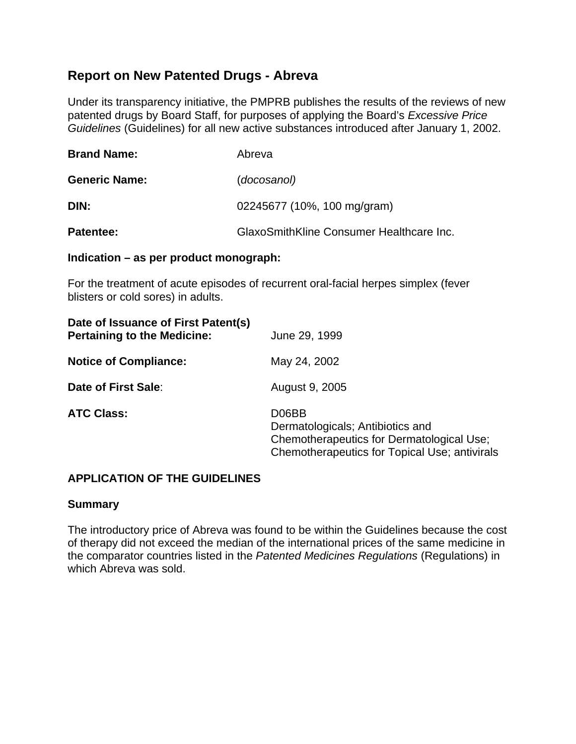# **Report on New Patented Drugs - Abreva**

Under its transparency initiative, the PMPRB publishes the results of the reviews of new patented drugs by Board Staff, for purposes of applying the Board's *Excessive Price Guidelines* (Guidelines) for all new active substances introduced after January 1, 2002.

| <b>Brand Name:</b>   | Abreva                                   |
|----------------------|------------------------------------------|
| <b>Generic Name:</b> | (docosanol)                              |
| DIN:                 | 02245677 (10%, 100 mg/gram)              |
| Patentee:            | GlaxoSmithKline Consumer Healthcare Inc. |

#### **Indication – as per product monograph:**

For the treatment of acute episodes of recurrent oral-facial herpes simplex (fever blisters or cold sores) in adults.

| Date of Issuance of First Patent(s)<br><b>Pertaining to the Medicine:</b> | June 29, 1999                                                                                                                           |
|---------------------------------------------------------------------------|-----------------------------------------------------------------------------------------------------------------------------------------|
| <b>Notice of Compliance:</b>                                              | May 24, 2002                                                                                                                            |
| Date of First Sale:                                                       | August 9, 2005                                                                                                                          |
| <b>ATC Class:</b>                                                         | D06BB<br>Dermatologicals; Antibiotics and<br>Chemotherapeutics for Dermatological Use;<br>Chemotherapeutics for Topical Use; antivirals |

# **APPLICATION OF THE GUIDELINES**

# **Summary**

The introductory price of Abreva was found to be within the Guidelines because the cost of therapy did not exceed the median of the international prices of the same medicine in the comparator countries listed in the *Patented Medicines Regulations* (Regulations) in which Abreva was sold.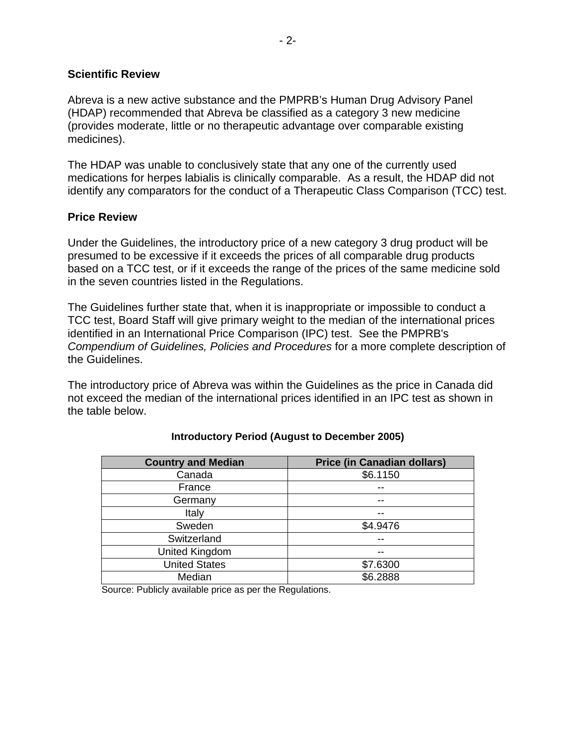#### **Scientific Review**

Abreva is a new active substance and the PMPRB's Human Drug Advisory Panel (HDAP) recommended that Abreva be classified as a category 3 new medicine (provides moderate, little or no therapeutic advantage over comparable existing medicines).

The HDAP was unable to conclusively state that any one of the currently used medications for herpes labialis is clinically comparable. As a result, the HDAP did not identify any comparators for the conduct of a Therapeutic Class Comparison (TCC) test.

#### **Price Review**

Under the Guidelines, the introductory price of a new category 3 drug product will be presumed to be excessive if it exceeds the prices of all comparable drug products based on a TCC test, or if it exceeds the range of the prices of the same medicine sold in the seven countries listed in the Regulations.

The Guidelines further state that, when it is inappropriate or impossible to conduct a TCC test, Board Staff will give primary weight to the median of the international prices identified in an International Price Comparison (IPC) test. See the PMPRB's *Compendium of Guidelines, Policies and Procedures* for a more complete description of the Guidelines.

The introductory price of Abreva was within the Guidelines as the price in Canada did not exceed the median of the international prices identified in an IPC test as shown in the table below.

| <b>Country and Median</b> | <b>Price (in Canadian dollars)</b> |
|---------------------------|------------------------------------|
| Canada                    | \$6.1150                           |
| France                    |                                    |
| Germany                   |                                    |
| Italy                     |                                    |
| Sweden                    | \$4.9476                           |
| Switzerland               |                                    |
| United Kingdom            |                                    |
| <b>United States</b>      | \$7.6300                           |
| Median                    | \$6.2888                           |

# **Introductory Period (August to December 2005)**

Source: Publicly available price as per the Regulations.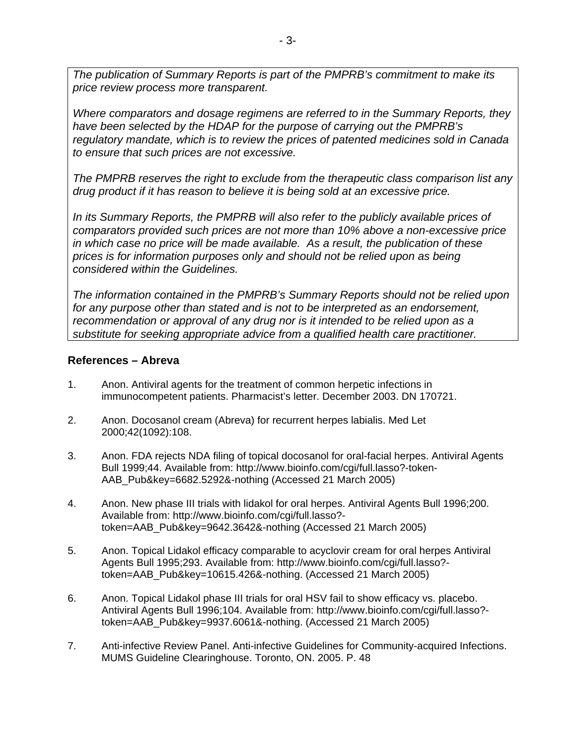*The publication of Summary Reports is part of the PMPRB's commitment to make its price review process more transparent.* 

*Where comparators and dosage regimens are referred to in the Summary Reports, they have been selected by the HDAP for the purpose of carrying out the PMPRB's regulatory mandate, which is to review the prices of patented medicines sold in Canada to ensure that such prices are not excessive.* 

*The PMPRB reserves the right to exclude from the therapeutic class comparison list any drug product if it has reason to believe it is being sold at an excessive price.* 

*In its Summary Reports, the PMPRB will also refer to the publicly available prices of comparators provided such prices are not more than 10% above a non-excessive price in which case no price will be made available. As a result, the publication of these prices is for information purposes only and should not be relied upon as being considered within the Guidelines.* 

*The information contained in the PMPRB's Summary Reports should not be relied upon for any purpose other than stated and is not to be interpreted as an endorsement, recommendation or approval of any drug nor is it intended to be relied upon as a substitute for seeking appropriate advice from a qualified health care practitioner.* 

# **References – Abreva**

- 1. Anon. Antiviral agents for the treatment of common herpetic infections in immunocompetent patients. Pharmacist's letter. December 2003. DN 170721.
- 2. Anon. Docosanol cream (Abreva) for recurrent herpes labialis. Med Let 2000;42(1092):108.
- 3. Anon. FDA rejects NDA filing of topical docosanol for oral-facial herpes. Antiviral Agents Bull 1999;44. Available from: http://www.bioinfo.com/cgi/full.lasso?-token-AAB\_Pub&key=6682.5292&-nothing (Accessed 21 March 2005)
- 4. Anon. New phase III trials with lidakol for oral herpes. Antiviral Agents Bull 1996;200. Available from: http://www.bioinfo.com/cgi/full.lasso? token=AAB\_Pub&key=9642.3642&-nothing (Accessed 21 March 2005)
- 5. Anon. Topical Lidakol efficacy comparable to acyclovir cream for oral herpes Antiviral Agents Bull 1995;293. Available from: http://www.bioinfo.com/cgi/full.lasso? token=AAB\_Pub&key=10615.426&-nothing. (Accessed 21 March 2005)
- 6. Anon. Topical Lidakol phase III trials for oral HSV fail to show efficacy vs. placebo. Antiviral Agents Bull 1996;104. Available from: http://www.bioinfo.com/cgi/full.lasso? token=AAB\_Pub&key=9937.6061&-nothing. (Accessed 21 March 2005)
- 7. Anti-infective Review Panel. Anti-infective Guidelines for Community-acquired Infections. MUMS Guideline Clearinghouse. Toronto, ON. 2005. P. 48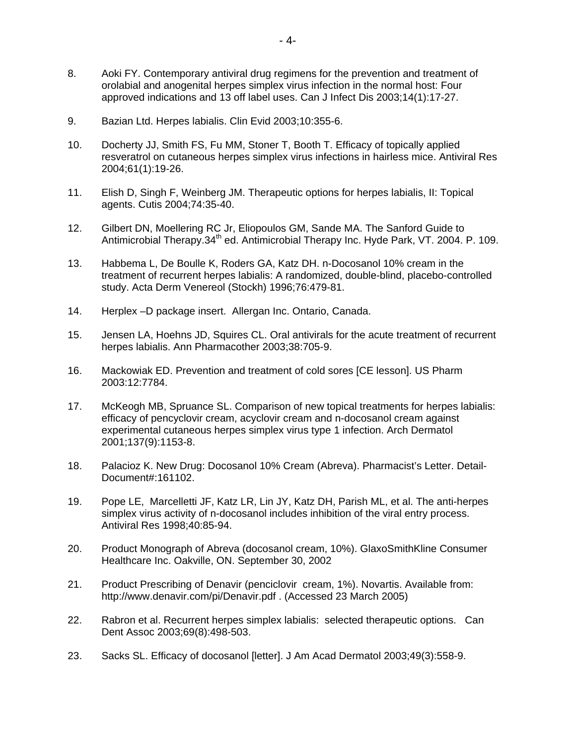- 8. Aoki FY. Contemporary antiviral drug regimens for the prevention and treatment of orolabial and anogenital herpes simplex virus infection in the normal host: Four approved indications and 13 off label uses. Can J Infect Dis 2003;14(1):17-27.
- 9. Bazian Ltd. Herpes labialis. Clin Evid 2003;10:355-6.
- 10. Docherty JJ, Smith FS, Fu MM, Stoner T, Booth T. Efficacy of topically applied resveratrol on cutaneous herpes simplex virus infections in hairless mice. Antiviral Res 2004;61(1):19-26.
- 11. Elish D, Singh F, Weinberg JM. Therapeutic options for herpes labialis, II: Topical agents. Cutis 2004;74:35-40.
- 12. Gilbert DN, Moellering RC Jr, Eliopoulos GM, Sande MA. The Sanford Guide to Antimicrobial Therapy.34<sup>th</sup> ed. Antimicrobial Therapy Inc. Hyde Park, VT. 2004. P. 109.
- 13. Habbema L, De Boulle K, Roders GA, Katz DH. n-Docosanol 10% cream in the treatment of recurrent herpes labialis: A randomized, double-blind, placebo-controlled study. Acta Derm Venereol (Stockh) 1996;76:479-81.
- 14. Herplex –D package insert. Allergan Inc. Ontario, Canada.
- 15. Jensen LA, Hoehns JD, Squires CL. Oral antivirals for the acute treatment of recurrent herpes labialis. Ann Pharmacother 2003;38:705-9.
- 16. Mackowiak ED. Prevention and treatment of cold sores [CE lesson]. US Pharm 2003:12:7784.
- 17. McKeogh MB, Spruance SL. Comparison of new topical treatments for herpes labialis: efficacy of pencyclovir cream, acyclovir cream and n-docosanol cream against experimental cutaneous herpes simplex virus type 1 infection. Arch Dermatol 2001;137(9):1153-8.
- 18. Palacioz K. New Drug: Docosanol 10% Cream (Abreva). Pharmacist's Letter. Detail-Document#:161102.
- 19. Pope LE, Marcelletti JF, Katz LR, Lin JY, Katz DH, Parish ML, et al. The anti-herpes simplex virus activity of n-docosanol includes inhibition of the viral entry process. Antiviral Res 1998;40:85-94.
- 20. Product Monograph of Abreva (docosanol cream, 10%). GlaxoSmithKline Consumer Healthcare Inc. Oakville, ON. September 30, 2002
- 21. Product Prescribing of Denavir (penciclovir cream, 1%). Novartis. Available from: http://www.denavir.com/pi/Denavir.pdf . (Accessed 23 March 2005)
- 22. Rabron et al. Recurrent herpes simplex labialis: selected therapeutic options. Can Dent Assoc 2003;69(8):498-503.
- 23. Sacks SL. Efficacy of docosanol [letter]. J Am Acad Dermatol 2003;49(3):558-9.